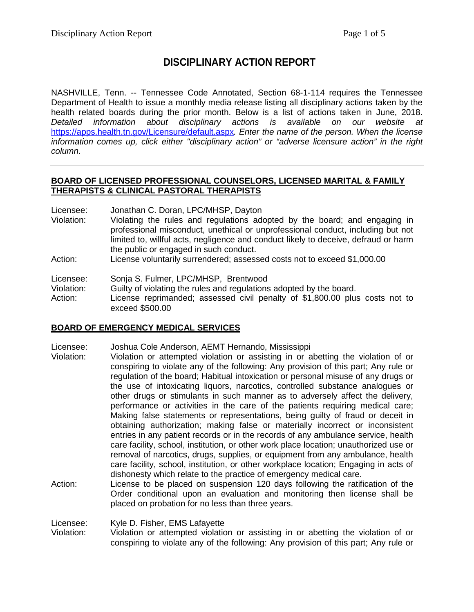# **DISCIPLINARY ACTION REPORT**

NASHVILLE, Tenn. -- Tennessee Code Annotated, Section 68-1-114 requires the Tennessee Department of Health to issue a monthly media release listing all disciplinary actions taken by the health related boards during the prior month. Below is a list of actions taken in June, 2018. *Detailed information about disciplinary actions is available on our website at* <https://apps.health.tn.gov/Licensure/default.aspx>*. Enter the name of the person. When the license information comes up, click either "disciplinary action" or "adverse licensure action" in the right column.*

### **BOARD OF LICENSED PROFESSIONAL COUNSELORS, LICENSED MARITAL & FAMILY THERAPISTS & CLINICAL PASTORAL THERAPISTS**

Licensee: Jonathan C. Doran, LPC/MHSP, Dayton

- Violation: Violating the rules and regulations adopted by the board; and engaging in professional misconduct, unethical or unprofessional conduct, including but not limited to, willful acts, negligence and conduct likely to deceive, defraud or harm the public or engaged in such conduct.
- Action: License voluntarily surrendered; assessed costs not to exceed \$1,000.00

Licensee: Sonja S. Fulmer, LPC/MHSP, Brentwood

Violation: Guilty of violating the rules and regulations adopted by the board. Action: License reprimanded; assessed civil penalty of \$1,800.00 plus costs not to exceed \$500.00

### **BOARD OF EMERGENCY MEDICAL SERVICES**

Licensee: Joshua Cole Anderson, AEMT Hernando, Mississippi

- Violation: Violation or attempted violation or assisting in or abetting the violation of or conspiring to violate any of the following: Any provision of this part; Any rule or regulation of the board; Habitual intoxication or personal misuse of any drugs or the use of intoxicating liquors, narcotics, controlled substance analogues or other drugs or stimulants in such manner as to adversely affect the delivery, performance or activities in the care of the patients requiring medical care; Making false statements or representations, being guilty of fraud or deceit in obtaining authorization; making false or materially incorrect or inconsistent entries in any patient records or in the records of any ambulance service, health care facility, school, institution, or other work place location; unauthorized use or removal of narcotics, drugs, supplies, or equipment from any ambulance, health care facility, school, institution, or other workplace location; Engaging in acts of dishonesty which relate to the practice of emergency medical care.
- Action: License to be placed on suspension 120 days following the ratification of the Order conditional upon an evaluation and monitoring then license shall be placed on probation for no less than three years.

Licensee: Kyle D. Fisher, EMS Lafayette

Violation: Violation or attempted violation or assisting in or abetting the violation of or conspiring to violate any of the following: Any provision of this part; Any rule or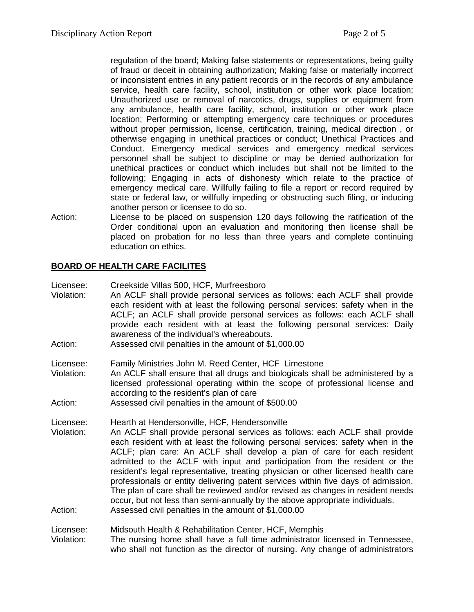regulation of the board; Making false statements or representations, being guilty of fraud or deceit in obtaining authorization; Making false or materially incorrect or inconsistent entries in any patient records or in the records of any ambulance service, health care facility, school, institution or other work place location; Unauthorized use or removal of narcotics, drugs, supplies or equipment from any ambulance, health care facility, school, institution or other work place location; Performing or attempting emergency care techniques or procedures without proper permission, license, certification, training, medical direction , or otherwise engaging in unethical practices or conduct; Unethical Practices and Conduct. Emergency medical services and emergency medical services personnel shall be subject to discipline or may be denied authorization for unethical practices or conduct which includes but shall not be limited to the following; Engaging in acts of dishonesty which relate to the practice of emergency medical care. Willfully failing to file a report or record required by state or federal law, or willfully impeding or obstructing such filing, or inducing another person or licensee to do so.

Action: License to be placed on suspension 120 days following the ratification of the Order conditional upon an evaluation and monitoring then license shall be placed on probation for no less than three years and complete continuing education on ethics.

### **BOARD OF HEALTH CARE FACILITES**

| Licensee:<br>Violation:<br>Action: | Creekside Villas 500, HCF, Murfreesboro<br>An ACLF shall provide personal services as follows: each ACLF shall provide<br>each resident with at least the following personal services: safety when in the<br>ACLF; an ACLF shall provide personal services as follows: each ACLF shall<br>provide each resident with at least the following personal services: Daily<br>awareness of the individual's whereabouts.<br>Assessed civil penalties in the amount of \$1,000.00                                                                                                                                                                                                                                                                                                   |
|------------------------------------|------------------------------------------------------------------------------------------------------------------------------------------------------------------------------------------------------------------------------------------------------------------------------------------------------------------------------------------------------------------------------------------------------------------------------------------------------------------------------------------------------------------------------------------------------------------------------------------------------------------------------------------------------------------------------------------------------------------------------------------------------------------------------|
| Licensee:<br>Violation:<br>Action: | Family Ministries John M. Reed Center, HCF Limestone<br>An ACLF shall ensure that all drugs and biologicals shall be administered by a<br>licensed professional operating within the scope of professional license and<br>according to the resident's plan of care<br>Assessed civil penalties in the amount of \$500.00                                                                                                                                                                                                                                                                                                                                                                                                                                                     |
| Licensee:<br>Violation:<br>Action: | Hearth at Hendersonville, HCF, Hendersonville<br>An ACLF shall provide personal services as follows: each ACLF shall provide<br>each resident with at least the following personal services: safety when in the<br>ACLF; plan care: An ACLF shall develop a plan of care for each resident<br>admitted to the ACLF with input and participation from the resident or the<br>resident's legal representative, treating physician or other licensed health care<br>professionals or entity delivering patent services within five days of admission.<br>The plan of care shall be reviewed and/or revised as changes in resident needs<br>occur, but not less than semi-annually by the above appropriate individuals.<br>Assessed civil penalties in the amount of \$1,000.00 |
| Licensee:<br>Violation:            | Midsouth Health & Rehabilitation Center, HCF, Memphis<br>The nursing home shall have a full time administrator licensed in Tennessee,<br>who shall not function as the director of nursing. Any change of administrators                                                                                                                                                                                                                                                                                                                                                                                                                                                                                                                                                     |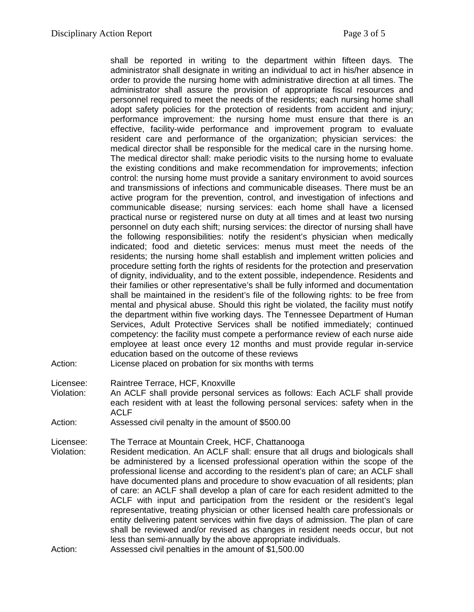shall be reported in writing to the department within fifteen days. The administrator shall designate in writing an individual to act in his/her absence in order to provide the nursing home with administrative direction at all times. The administrator shall assure the provision of appropriate fiscal resources and personnel required to meet the needs of the residents; each nursing home shall adopt safety policies for the protection of residents from accident and injury; performance improvement: the nursing home must ensure that there is an effective, facility-wide performance and improvement program to evaluate resident care and performance of the organization; physician services: the medical director shall be responsible for the medical care in the nursing home. The medical director shall: make periodic visits to the nursing home to evaluate the existing conditions and make recommendation for improvements; infection control: the nursing home must provide a sanitary environment to avoid sources and transmissions of infections and communicable diseases. There must be an active program for the prevention, control, and investigation of infections and communicable disease; nursing services: each home shall have a licensed practical nurse or registered nurse on duty at all times and at least two nursing personnel on duty each shift; nursing services: the director of nursing shall have the following responsibilities: notify the resident's physician when medically indicated; food and dietetic services: menus must meet the needs of the residents; the nursing home shall establish and implement written policies and procedure setting forth the rights of residents for the protection and preservation of dignity, individuality, and to the extent possible, independence. Residents and their families or other representative's shall be fully informed and documentation shall be maintained in the resident's file of the following rights: to be free from mental and physical abuse. Should this right be violated, the facility must notify the department within five working days. The Tennessee Department of Human Services, Adult Protective Services shall be notified immediately; continued competency: the facility must compete a performance review of each nurse aide employee at least once every 12 months and must provide regular in-service education based on the outcome of these reviews Action: License placed on probation for six months with terms

- 
- Licensee: Raintree Terrace, HCF, Knoxville Violation: An ACLF shall provide personal services as follows: Each ACLF shall provide each resident with at least the following personal services: safety when in the ACLF
- Action: Assessed civil penalty in the amount of \$500.00

Licensee: The Terrace at Mountain Creek, HCF, Chattanooga<br>Violation: Resident medication. An ACLF shall: ensure that all

- Resident medication. An ACLF shall: ensure that all drugs and biologicals shall be administered by a licensed professional operation within the scope of the professional license and according to the resident's plan of care; an ACLF shall have documented plans and procedure to show evacuation of all residents; plan of care: an ACLF shall develop a plan of care for each resident admitted to the ACLF with input and participation from the resident or the resident's legal representative, treating physician or other licensed health care professionals or entity delivering patent services within five days of admission. The plan of care shall be reviewed and/or revised as changes in resident needs occur, but not less than semi-annually by the above appropriate individuals.
- Action: Assessed civil penalties in the amount of \$1,500.00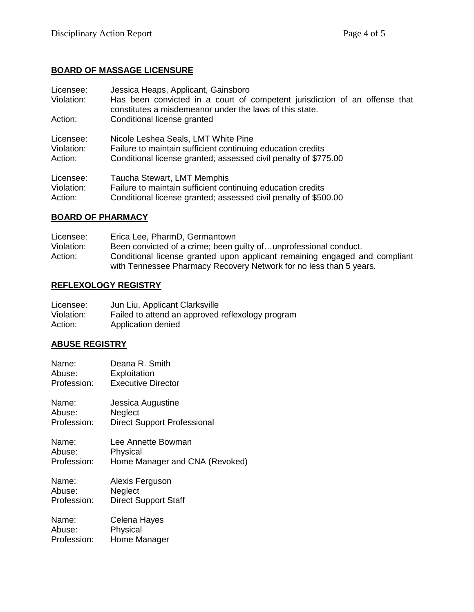# **BOARD OF MASSAGE LICENSURE**

| Licensee:<br>Violation: | Jessica Heaps, Applicant, Gainsboro<br>Has been convicted in a court of competent jurisdiction of an offense that<br>constitutes a misdemeanor under the laws of this state. |
|-------------------------|------------------------------------------------------------------------------------------------------------------------------------------------------------------------------|
| Action:                 | Conditional license granted                                                                                                                                                  |
| Licensee:               | Nicole Leshea Seals, LMT White Pine                                                                                                                                          |
| Violation:              | Failure to maintain sufficient continuing education credits                                                                                                                  |
| Action:                 | Conditional license granted; assessed civil penalty of \$775.00                                                                                                              |
| Licensee:               | Taucha Stewart, LMT Memphis                                                                                                                                                  |
| Violation:              | Failure to maintain sufficient continuing education credits                                                                                                                  |
| Action:                 | Conditional license granted; assessed civil penalty of \$500.00                                                                                                              |

### **BOARD OF PHARMACY**

| Licensee:  | Erica Lee, PharmD, Germantown                                              |
|------------|----------------------------------------------------------------------------|
| Violation: | Been convicted of a crime; been guilty ofunprofessional conduct.           |
| Action:    | Conditional license granted upon applicant remaining engaged and compliant |
|            | with Tennessee Pharmacy Recovery Network for no less than 5 years.         |

## **REFLEXOLOGY REGISTRY**

| Licensee:  | Jun Liu, Applicant Clarksville                   |
|------------|--------------------------------------------------|
| Violation: | Failed to attend an approved reflexology program |
| Action:    | Application denied                               |

## **ABUSE REGISTRY**

| Name:       | Deana R. Smith                     |
|-------------|------------------------------------|
| Abuse:      | Exploitation                       |
| Profession: | <b>Executive Director</b>          |
| Name:       | Jessica Augustine                  |
| Abuse:      | Neglect                            |
| Profession: | <b>Direct Support Professional</b> |
| Name:       | Lee Annette Bowman                 |
| Abuse:      | Physical                           |
| Profession: | Home Manager and CNA (Revoked)     |
| Name:       | Alexis Ferguson                    |
| Abuse:      | Neglect                            |
| Profession: | <b>Direct Support Staff</b>        |
| Name:       | Celena Hayes                       |

Abuse: Physical

Profession: Home Manager